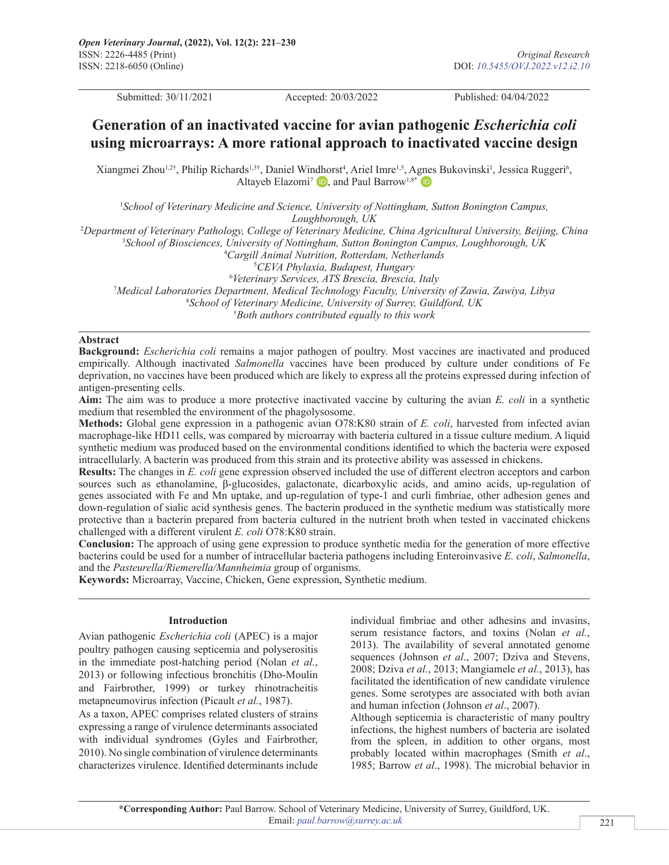Submitted: 30/11/2021 Accepted: 20/03/2022 Published: 04/04/2022

# **Generation of an inactivated vaccine for avian pathogenic** *Escherichia coli* **using microarrays: A more rational approach to inactivated vaccine design**

Xiangmei Zhou<sup>1,2†</sup>, Philip Richards<sup>1,3†</sup>, Daniel Wi[ndho](https://orcid.org/0000-0003-0442-3011)rst<sup>4</sup>, Ariel Imre<sup>1,5</sup>, A[gnes](https://orcid.org/0000-0002-5607-0599) Bukovinski<sup>1</sup>, Jessica Ruggeri<sup>6</sup>, Altayeb Elazomi<sup>7</sup> **D**, and Paul Barrow<sup>1,8\*</sup> **D** 

<sup>1</sup> School of Veterinary Medicine and Science, University of Nottingham, Sutton Bonington Campus, *Loughborough, UK*

2 *Department of Veterinary Pathology, College of Veterinary Medicine, China Agricultural University, Beijing, China*

3 *School of Biosciences, University of Nottingham, Sutton Bonington Campus, Loughborough, UK*

4 *Cargill Animal Nutrition, Rotterdam, Netherlands*

5 *CEVA Phylaxia, Budapest, Hungary*

6 *Veterinary Services, ATS Brescia, Brescia, Italy*

7 *Medical Laboratories Department, Medical Technology Faculty, University of Zawia, Zawiya, Libya* 8 *School of Veterinary Medicine, University of Surrey, Guildford, UK*

† *Both authors contributed equally to this work*

#### **Abstract**

**Background:** *Escherichia coli* remains a major pathogen of poultry. Most vaccines are inactivated and produced empirically. Although inactivated *Salmonella* vaccines have been produced by culture under conditions of Fe deprivation, no vaccines have been produced which are likely to express all the proteins expressed during infection of antigen-presenting cells.

**Aim:** The aim was to produce a more protective inactivated vaccine by culturing the avian *E. coli* in a synthetic medium that resembled the environment of the phagolysosome.

**Methods:** Global gene expression in a pathogenic avian O78:K80 strain of *E. coli*, harvested from infected avian macrophage-like HD11 cells, was compared by microarray with bacteria cultured in a tissue culture medium. A liquid synthetic medium was produced based on the environmental conditions identified to which the bacteria were exposed intracellularly. A bacterin was produced from this strain and its protective ability was assessed in chickens.

**Results:** The changes in *E. coli* gene expression observed included the use of different electron acceptors and carbon sources such as ethanolamine, β-glucosides, galactonate, dicarboxylic acids, and amino acids, up-regulation of genes associated with Fe and Mn uptake, and up-regulation of type-1 and curli fimbriae, other adhesion genes and down-regulation of sialic acid synthesis genes. The bacterin produced in the synthetic medium was statistically more protective than a bacterin prepared from bacteria cultured in the nutrient broth when tested in vaccinated chickens challenged with a different virulent *E. coli* O78:K80 strain.

**Conclusion:** The approach of using gene expression to produce synthetic media for the generation of more effective bacterins could be used for a number of intracellular bacteria pathogens including Enteroinvasive *E. coli*, *Salmonella*, and the *Pasteurella/Riemerella/Mannheimia* group of organisms.

**Keywords:** Microarray, Vaccine, Chicken, Gene expression, Synthetic medium.

#### **Introduction**

Avian pathogenic *Escherichia coli* (APEC) is a major poultry pathogen causing septicemia and polyserositis in the immediate post-hatching period (Nolan *et al.*, 2013) or following infectious bronchitis (Dho-Moulin and Fairbrother, 1999) or turkey rhinotracheitis metapneumovirus infection (Picault *et al.*, 1987).

As a taxon, APEC comprises related clusters of strains expressing a range of virulence determinants associated with individual syndromes (Gyles and Fairbrother, 2010). No single combination of virulence determinants characterizes virulence. Identified determinants include

individual fimbriae and other adhesins and invasins, serum resistance factors, and toxins (Nolan *et al.*, 2013). The availability of several annotated genome sequences (Johnson *et al*., 2007; Dziva and Stevens, 2008; Dziva *et al.*, 2013; Mangiamele *et al.*, 2013), has facilitated the identification of new candidate virulence genes. Some serotypes are associated with both avian and human infection (Johnson *et al*., 2007).

Although septicemia is characteristic of many poultry infections, the highest numbers of bacteria are isolated from the spleen, in addition to other organs, most probably located within macrophages (Smith *et al*., 1985; Barrow *et al*., 1998). The microbial behavior in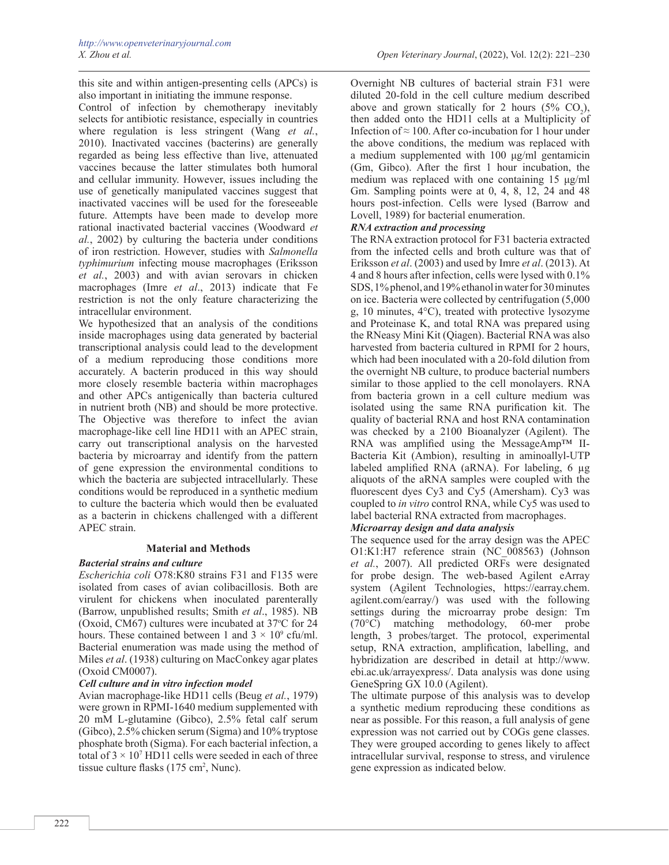this site and within antigen-presenting cells (APCs) is also important in initiating the immune response.

Control of infection by chemotherapy inevitably selects for antibiotic resistance, especially in countries where regulation is less stringent (Wang *et al.*, 2010). Inactivated vaccines (bacterins) are generally regarded as being less effective than live, attenuated vaccines because the latter stimulates both humoral and cellular immunity. However, issues including the use of genetically manipulated vaccines suggest that inactivated vaccines will be used for the foreseeable future. Attempts have been made to develop more rational inactivated bacterial vaccines (Woodward *et al.*, 2002) by culturing the bacteria under conditions of iron restriction. However, studies with *Salmonella typhimurium* infecting mouse macrophages (Eriksson *et al.*, 2003) and with avian serovars in chicken macrophages (Imre *et al*., 2013) indicate that Fe restriction is not the only feature characterizing the intracellular environment.

We hypothesized that an analysis of the conditions inside macrophages using data generated by bacterial transcriptional analysis could lead to the development of a medium reproducing those conditions more accurately. A bacterin produced in this way should more closely resemble bacteria within macrophages and other APCs antigenically than bacteria cultured in nutrient broth (NB) and should be more protective. The Objective was therefore to infect the avian macrophage-like cell line HD11 with an APEC strain, carry out transcriptional analysis on the harvested bacteria by microarray and identify from the pattern of gene expression the environmental conditions to which the bacteria are subjected intracellularly. These conditions would be reproduced in a synthetic medium to culture the bacteria which would then be evaluated as a bacterin in chickens challenged with a different APEC strain.

## **Material and Methods**

## *Bacterial strains and culture*

*Escherichia coli* O78:K80 strains F31 and F135 were isolated from cases of avian colibacillosis. Both are virulent for chickens when inoculated parenterally (Barrow, unpublished results; Smith *et al*., 1985). NB (Oxoid, CM67) cultures were incubated at 37°C for 24 hours. These contained between 1 and  $3 \times 10^9$  cfu/ml. Bacterial enumeration was made using the method of Miles *et al*. (1938) culturing on MacConkey agar plates (Oxoid CM0007).

## *Cell culture and in vitro infection model*

Avian macrophage-like HD11 cells (Beug *et al.*, 1979) were grown in RPMI-1640 medium supplemented with 20 mM L-glutamine (Gibco), 2.5% fetal calf serum (Gibco), 2.5% chicken serum (Sigma) and 10% tryptose phosphate broth (Sigma). For each bacterial infection, a total of  $3 \times 10^7$  HD11 cells were seeded in each of three tissue culture flasks  $(175 \text{ cm}^2, \text{Nunc})$ .

Overnight NB cultures of bacterial strain F31 were diluted 20-fold in the cell culture medium described above and grown statically for 2 hours  $(5\% \text{ CO}_2)$ , then added onto the HD11 cells at a Multiplicity of Infection of  $\approx$  100. After co-incubation for 1 hour under the above conditions, the medium was replaced with a medium supplemented with 100 μg/ml gentamicin (Gm, Gibco). After the first 1 hour incubation, the medium was replaced with one containing 15 μg/ml Gm. Sampling points were at 0, 4, 8, 12, 24 and 48 hours post-infection. Cells were lysed (Barrow and Lovell, 1989) for bacterial enumeration.

## *RNA extraction and processing*

The RNA extraction protocol for F31 bacteria extracted from the infected cells and broth culture was that of Eriksson *et al*. (2003) and used by Imre *et al*. (2013). At 4 and 8 hours after infection, cells were lysed with 0.1% SDS, 1% phenol, and 19% ethanol in water for 30 minutes on ice. Bacteria were collected by centrifugation (5,000 g, 10 minutes, 4°C), treated with protective lysozyme and Proteinase K, and total RNA was prepared using the RNeasy Mini Kit (Qiagen). Bacterial RNA was also harvested from bacteria cultured in RPMI for 2 hours, which had been inoculated with a 20-fold dilution from the overnight NB culture, to produce bacterial numbers similar to those applied to the cell monolayers. RNA from bacteria grown in a cell culture medium was isolated using the same RNA purification kit. The quality of bacterial RNA and host RNA contamination was checked by a 2100 Bioanalyzer (Agilent). The RNA was amplified using the MessageAmp™ II-Bacteria Kit (Ambion), resulting in aminoallyl-UTP labeled amplified RNA (aRNA). For labeling, 6 µg aliquots of the aRNA samples were coupled with the fluorescent dyes Cy3 and Cy5 (Amersham). Cy3 was coupled to *in vitro* control RNA, while Cy5 was used to label bacterial RNA extracted from macrophages.

## *Microarray design and data analysis*

The sequence used for the array design was the APEC O1:K1:H7 reference strain (NC\_008563) (Johnson *et al.*, 2007). All predicted ORFs were designated for probe design. The web-based Agilent eArray system (Agilent Technologies, [https://earray.chem.](https://earray.chem.agilent.com/earray/) [agilent.com/earray/](https://earray.chem.agilent.com/earray/)) was used with the following settings during the microarray probe design: Tm (70°C) matching methodology, 60-mer probe length, 3 probes/target. The protocol, experimental setup, RNA extraction, amplification, labelling, and hybridization are described in detail at http://www. ebi.ac.uk/arrayexpress/. Data analysis was done using GeneSpring GX 10.0 (Agilent).

The ultimate purpose of this analysis was to develop a synthetic medium reproducing these conditions as near as possible. For this reason, a full analysis of gene expression was not carried out by COGs gene classes. They were grouped according to genes likely to affect intracellular survival, response to stress, and virulence gene expression as indicated below.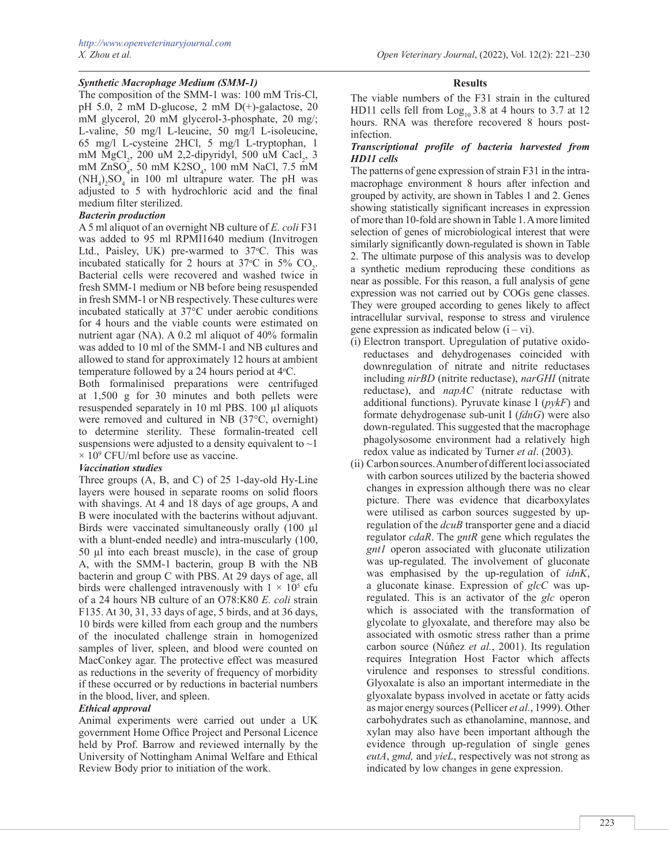# *Synthetic Macrophage Medium (SMM-1)*

The composition of the SMM-1 was: 100 mM Tris-Cl, pH 5.0, 2 mM D-glucose, 2 mM D(+)-galactose, 20 mM glycerol, 20 mM glycerol-3-phosphate, 20 mg/; L-valine, 50 mg/l L-leucine, 50 mg/l L-isoleucine, 65 mg/l L-cysteine 2HCl, 5 mg/l L-tryptophan, 1 mM  $MgCl<sub>2</sub>$ , 200 uM 2,2-dipyridyl, 500 uM Cacl<sub>2</sub>, 3 mM ZnSO<sub>4</sub>, 50 mM K2SO<sub>4</sub>, 100 mM NaCl, 7.5 mM  $(NH_4)_2SO_4$  in 100 ml ultrapure water. The pH was adjusted to 5 with hydrochloric acid and the final medium filter sterilized.

## *Bacterin production*

A 5 ml aliquot of an overnight NB culture of *E. coli* F31 was added to 95 ml RPMI1640 medium (Invitrogen Ltd., Paisley, UK) pre-warmed to 37°C. This was incubated statically for 2 hours at 37 °C in 5%  $CO_2$ . Bacterial cells were recovered and washed twice in fresh SMM-1 medium or NB before being resuspended in fresh SMM-1 or NB respectively. These cultures were incubated statically at 37°C under aerobic conditions for 4 hours and the viable counts were estimated on nutrient agar (NA). A 0.2 ml aliquot of 40% formalin was added to 10 ml of the SMM-1 and NB cultures and allowed to stand for approximately 12 hours at ambient temperature followed by a 24 hours period at  $4^{\circ}$ C.

Both formalinised preparations were centrifuged at 1,500 g for 30 minutes and both pellets were resuspended separately in 10 ml PBS. 100 µl aliquots were removed and cultured in NB (37°C, overnight) to determine sterility. These formalin-treated cell suspensions were adjusted to a density equivalent to  $\sim$ 1  $\times$  10<sup>9</sup> CFU/ml before use as vaccine.

## *Vaccination studies*

Three groups (A, B, and C) of 25 1-day-old Hy-Line layers were housed in separate rooms on solid floors with shavings. At 4 and 18 days of age groups, A and B were inoculated with the bacterins without adjuvant. Birds were vaccinated simultaneously orally (100 µl with a blunt-ended needle) and intra-muscularly (100, 50 µl into each breast muscle), in the case of group A, with the SMM-1 bacterin, group B with the NB bacterin and group C with PBS. At 29 days of age, all birds were challenged intravenously with  $1 \times 10^5$  cfu of a 24 hours NB culture of an O78:K80 *E. coli* strain F135. At 30, 31, 33 days of age, 5 birds, and at 36 days, 10 birds were killed from each group and the numbers of the inoculated challenge strain in homogenized samples of liver, spleen, and blood were counted on MacConkey agar. The protective effect was measured as reductions in the severity of frequency of morbidity if these occurred or by reductions in bacterial numbers in the blood, liver, and spleen.

## *Ethical approval*

Animal experiments were carried out under a UK government Home Office Project and Personal Licence held by Prof. Barrow and reviewed internally by the University of Nottingham Animal Welfare and Ethical Review Body prior to initiation of the work.

## **Results**

The viable numbers of the F31 strain in the cultured HD11 cells fell from  $Log_{10} 3.8$  at 4 hours to 3.7 at 12 hours. RNA was therefore recovered 8 hours postinfection.

## *Transcriptional profile of bacteria harvested from HD11 cells*

The patterns of gene expression of strain F31 in the intramacrophage environment 8 hours after infection and grouped by activity, are shown in Tables 1 and 2. Genes showing statistically significant increases in expression of more than 10-fold are shown in Table 1. A more limited selection of genes of microbiological interest that were similarly significantly down-regulated is shown in Table 2. The ultimate purpose of this analysis was to develop a synthetic medium reproducing these conditions as near as possible. For this reason, a full analysis of gene expression was not carried out by COGs gene classes. They were grouped according to genes likely to affect intracellular survival, response to stress and virulence gene expression as indicated below  $(i - vi)$ .

- (i) Electron transport. Upregulation of putative oxidoreductases and dehydrogenases coincided with downregulation of nitrate and nitrite reductases including *nirBD* (nitrite reductase), *narGHI* (nitrate reductase), and *napAC* (nitrate reductase with additional functions). Pyruvate kinase I (*pykF*) and formate dehydrogenase sub-unit I (*fdnG*) were also down-regulated. This suggested that the macrophage phagolysosome environment had a relatively high redox value as indicated by Turner *et al*. (2003).
- (ii) Carbon sources. A number of different loci associated with carbon sources utilized by the bacteria showed changes in expression although there was no clear picture. There was evidence that dicarboxylates were utilised as carbon sources suggested by upregulation of the *dcuB* transporter gene and a diacid regulator *cdaR*. The *gntR* gene which regulates the *gnt1* operon associated with gluconate utilization was up-regulated. The involvement of gluconate was emphasised by the up-regulation of *idnK*, a gluconate kinase. Expression of *glcC* was upregulated. This is an activator of the *glc* operon which is associated with the transformation of glycolate to glyoxalate, and therefore may also be associated with osmotic stress rather than a prime carbon source (Núñez *et al.*, 2001). Its regulation requires Integration Host Factor which affects virulence and responses to stressful conditions. Glyoxalate is also an important intermediate in the glyoxalate bypass involved in acetate or fatty acids as major energy sources (Pellicer *et al.*, 1999). Other carbohydrates such as ethanolamine, mannose, and xylan may also have been important although the evidence through up-regulation of single genes *eutA*, *gmd,* and *yieL*, respectively was not strong as indicated by low changes in gene expression.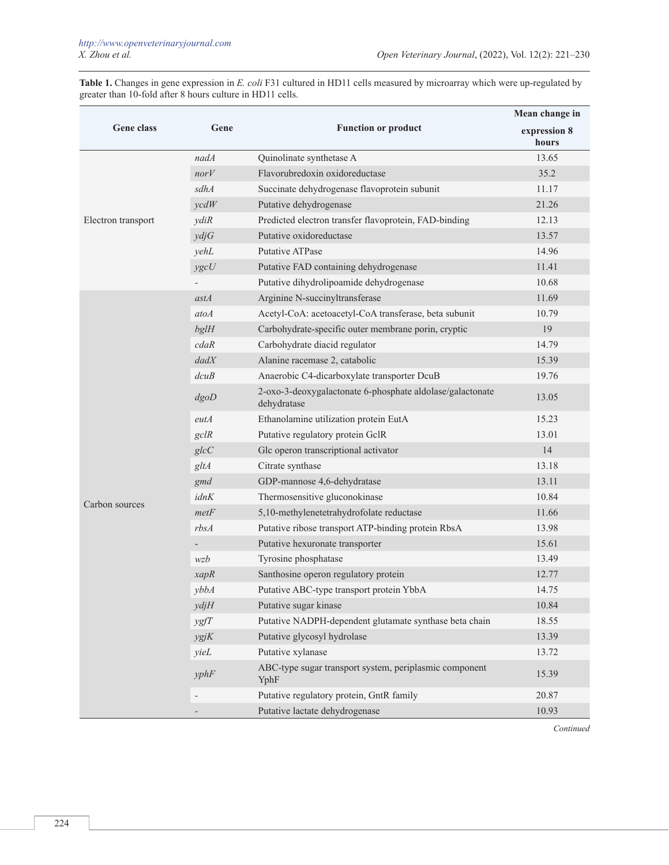**Table 1.** Changes in gene expression in *E. coli* F31 cultured in HD11 cells measured by microarray which were up-regulated by greater than 10-fold after 8 hours culture in HD11 cells.

|                    |                   |                                                                          | Mean change in        |
|--------------------|-------------------|--------------------------------------------------------------------------|-----------------------|
| Gene class         | Gene              | <b>Function or product</b>                                               | expression 8<br>hours |
|                    | nadA              | Quinolinate synthetase A                                                 | 13.65                 |
|                    | norV              | Flavorubredoxin oxidoreductase                                           | 35.2                  |
|                    | sdhA              | Succinate dehydrogenase flavoprotein subunit                             | 11.17                 |
|                    | $\mathit{vcdW}$   | Putative dehydrogenase                                                   | 21.26                 |
| Electron transport | ydiR              | Predicted electron transfer flavoprotein, FAD-binding                    | 12.13                 |
|                    | ydjG              | Putative oxidoreductase                                                  | 13.57                 |
|                    | yehL              | <b>Putative ATPase</b>                                                   | 14.96                 |
|                    | ygcU              | Putative FAD containing dehydrogenase                                    | 11.41                 |
|                    |                   | Putative dihydrolipoamide dehydrogenase                                  | 10.68                 |
|                    | astA              | Arginine N-succinyltransferase                                           | 11.69                 |
|                    | atoA              | Acetyl-CoA: acetoacetyl-CoA transferase, beta subunit                    | 10.79                 |
|                    | bglH              | Carbohydrate-specific outer membrane porin, cryptic                      | 19                    |
|                    | cdaR              | Carbohydrate diacid regulator                                            | 14.79                 |
|                    | $d$ ad $X$        | Alanine racemase 2, catabolic                                            | 15.39                 |
|                    | dcuB              | Anaerobic C4-dicarboxylate transporter DcuB                              | 19.76                 |
|                    | dgoD              | 2-oxo-3-deoxygalactonate 6-phosphate aldolase/galactonate<br>dehydratase | 13.05                 |
|                    | eutA              | Ethanolamine utilization protein EutA                                    | 15.23                 |
|                    | $\mathcal{G}$ clR | Putative regulatory protein GclR                                         | 13.01                 |
|                    | glcC              | Glc operon transcriptional activator                                     | 14                    |
|                    | gltA              | Citrate synthase                                                         | 13.18                 |
|                    | gmd               | GDP-mannose 4,6-dehydratase                                              | 13.11                 |
| Carbon sources     | idnK              | Thermosensitive gluconokinase                                            | 10.84                 |
|                    | metF              | 5,10-methylenetetrahydrofolate reductase                                 | 11.66                 |
|                    | rbsA              | Putative ribose transport ATP-binding protein RbsA                       | 13.98                 |
|                    |                   | Putative hexuronate transporter                                          | 15.61                 |
|                    | wzb               | Tyrosine phosphatase                                                     | 13.49                 |
|                    | xapR              | Santhosine operon regulatory protein                                     | 12.77                 |
|                    | vbbA              | Putative ABC-type transport protein YbbA                                 | 14.75                 |
|                    | ydjH              | Putative sugar kinase                                                    | 10.84                 |
|                    | ygfT              | Putative NADPH-dependent glutamate synthase beta chain                   | 18.55                 |
|                    | ygjK              | Putative glycosyl hydrolase                                              | 13.39                 |
|                    | yieL              | Putative xylanase                                                        | 13.72                 |
|                    | yphF              | ABC-type sugar transport system, periplasmic component<br>YphF           | 15.39                 |
|                    |                   | Putative regulatory protein, GntR family                                 | 20.87                 |
|                    |                   | Putative lactate dehydrogenase                                           | 10.93                 |

*Continued*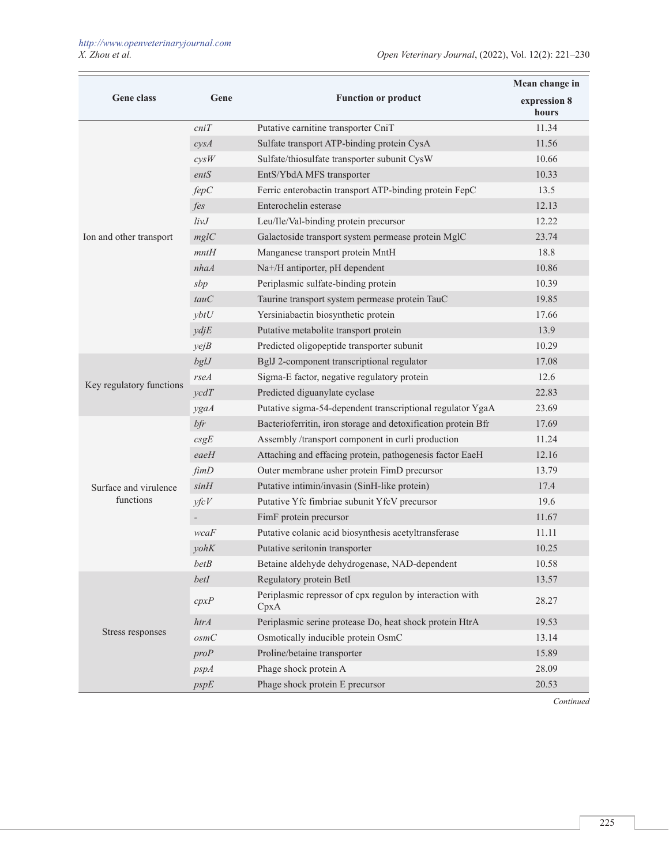|                          |                   |                                                                  | Mean change in        |
|--------------------------|-------------------|------------------------------------------------------------------|-----------------------|
| Gene class               | Gene              | <b>Function or product</b>                                       | expression 8<br>hours |
|                          | cniT              | Putative carnitine transporter CniT                              | 11.34                 |
|                          | cysA              | Sulfate transport ATP-binding protein CysA                       | 11.56                 |
|                          | cysW              | Sulfate/thiosulfate transporter subunit CysW                     | 10.66                 |
|                          | entS              | EntS/YbdA MFS transporter                                        | 10.33                 |
|                          | fepC              | Ferric enterobactin transport ATP-binding protein FepC           | 13.5                  |
|                          | fes               | Enterochelin esterase                                            | 12.13                 |
|                          | $li\nu J$         | Leu/Ile/Val-binding protein precursor                            | 12.22                 |
| Ion and other transport  | mg/C              | Galactoside transport system permease protein MglC               | 23.74                 |
|                          | mntH              | Manganese transport protein MntH                                 | 18.8                  |
|                          | nhaA              | Na+/H antiporter, pH dependent                                   | 10.86                 |
|                          | sbp               | Periplasmic sulfate-binding protein                              | 10.39                 |
|                          | tauC              | Taurine transport system permease protein TauC                   | 19.85                 |
|                          | ybtU              | Yersiniabactin biosynthetic protein                              | 17.66                 |
|                          | ydjE              | Putative metabolite transport protein                            | 13.9                  |
|                          | yejB              | Predicted oligopeptide transporter subunit                       | 10.29                 |
|                          | bgL               | BglJ 2-component transcriptional regulator                       | 17.08                 |
|                          | $r$ se $A$        | Sigma-E factor, negative regulatory protein                      | 12.6                  |
| Key regulatory functions | $\gamma c dT$     | Predicted diguanylate cyclase                                    | 22.83                 |
|                          | ygaA              | Putative sigma-54-dependent transcriptional regulator YgaA       | 23.69                 |
|                          | $b$ fr            | Bacterioferritin, iron storage and detoxification protein Bfr    | 17.69                 |
|                          | csgE              | Assembly /transport component in curli production                | 11.24                 |
|                          | eaeH              | Attaching and effacing protein, pathogenesis factor EaeH         | 12.16                 |
|                          | $f$ <i>im</i> $D$ | Outer membrane usher protein FimD precursor                      | 13.79                 |
| Surface and virulence    | sinH              | Putative intimin/invasin (SinH-like protein)                     | 17.4                  |
| functions                | yfcV              | Putative Yfc fimbriae subunit YfcV precursor                     | 19.6                  |
|                          |                   | FimF protein precursor                                           | 11.67                 |
|                          | wcaF              | Putative colanic acid biosynthesis acetyltransferase             | 11.11                 |
|                          | yohK              | Putative seritonin transporter                                   | 10.25                 |
|                          | betB              | Betaine aldehyde dehydrogenase, NAD-dependent                    | 10.58                 |
|                          | betI              | Regulatory protein BetI                                          | 13.57                 |
|                          | cpxP              | Periplasmic repressor of cpx regulon by interaction with<br>CpxA | 28.27                 |
|                          | htrA              | Periplasmic serine protease Do, heat shock protein HtrA          | 19.53                 |
| Stress responses         | osmC              | Osmotically inducible protein OsmC                               | 13.14                 |
|                          | proP              | Proline/betaine transporter                                      | 15.89                 |
|                          | pspA              | Phage shock protein A                                            | 28.09                 |
|                          | pspE              | Phage shock protein E precursor                                  | 20.53                 |

*Continued*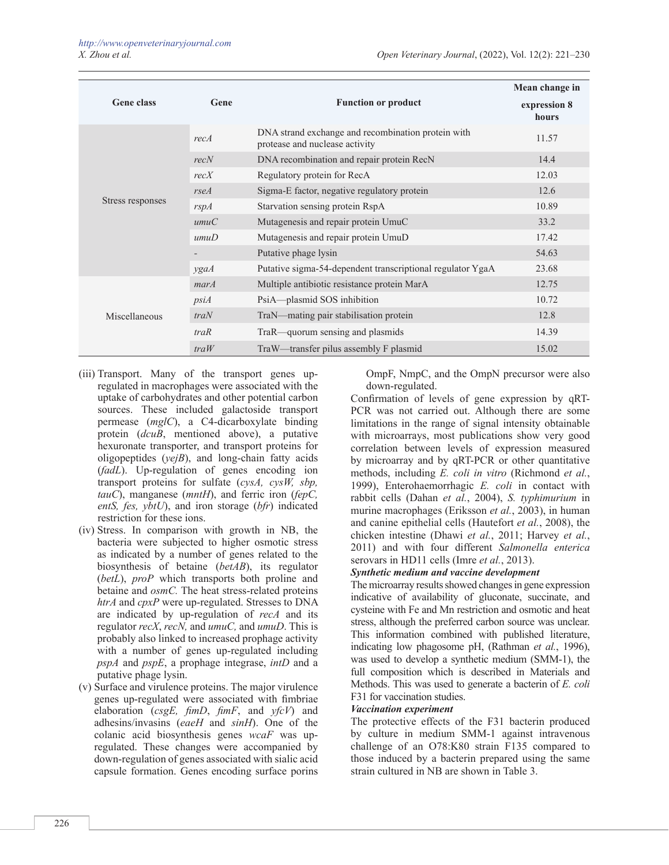|                   |            |                                                                                      | Mean change in        |
|-------------------|------------|--------------------------------------------------------------------------------------|-----------------------|
| <b>Gene class</b> | Gene       | <b>Function or product</b>                                                           | expression 8<br>hours |
|                   | recA       | DNA strand exchange and recombination protein with<br>protease and nuclease activity | 11.57                 |
|                   | recN       | DNA recombination and repair protein RecN                                            | 14.4                  |
|                   | recX       | Regulatory protein for RecA                                                          | 12.03                 |
|                   | $r$ se $A$ | Sigma-E factor, negative regulatory protein                                          | 12.6                  |
| Stress responses  | rspA       | Starvation sensing protein RspA                                                      | 10.89                 |
|                   | umuC       | Mutagenesis and repair protein UmuC                                                  | 33.2                  |
|                   | umuD       | Mutagenesis and repair protein UmuD                                                  | 17.42                 |
|                   |            | Putative phage lysin                                                                 | 54.63                 |
|                   | ygaA       | Putative sigma-54-dependent transcriptional regulator YgaA                           | 23.68                 |
|                   | marA       | Multiple antibiotic resistance protein MarA                                          | 12.75                 |
|                   | psiA       | PsiA—plasmid SOS inhibition                                                          | 10.72                 |
| Miscellaneous     | traN       | TraN—mating pair stabilisation protein                                               | 12.8                  |
|                   | traR       | TraR—quorum sensing and plasmids                                                     | 14.39                 |
|                   | traW       | TraW—transfer pilus assembly F plasmid                                               | 15.02                 |

- (iii) Transport. Many of the transport genes upregulated in macrophages were associated with the uptake of carbohydrates and other potential carbon sources. These included galactoside transport permease (*mglC*), a C4-dicarboxylate binding protein (*dcuB*, mentioned above), a putative hexuronate transporter, and transport proteins for oligopeptides (*yejB*), and long-chain fatty acids (*fadL*). Up-regulation of genes encoding ion transport proteins for sulfate (*cysA, cysW, sbp, tauC*), manganese (*mntH*), and ferric iron (*fepC, entS, fes, ybtU*), and iron storage (*bfr*) indicated restriction for these ions.
- (iv) Stress. In comparison with growth in NB, the bacteria were subjected to higher osmotic stress as indicated by a number of genes related to the biosynthesis of betaine (*betAB*), its regulator (*betL*), *proP* which transports both proline and betaine and *osmC.* The heat stress-related proteins *htrA* and *cpxP* were up-regulated. Stresses to DNA are indicated by up-regulation of *recA* and its regulator *recX*, *recN,* and *umuC,* and *umuD*. This is probably also linked to increased prophage activity with a number of genes up-regulated including *pspA* and *pspE*, a prophage integrase, *intD* and a putative phage lysin.
- (v) Surface and virulence proteins. The major virulence genes up-regulated were associated with fimbriae elaboration (*csgE, fimD*, *fimF*, and *yfcV*) and adhesins/invasins (*eaeH* and *sinH*). One of the colanic acid biosynthesis genes *wcaF* was upregulated. These changes were accompanied by down-regulation of genes associated with sialic acid capsule formation. Genes encoding surface porins

OmpF, NmpC, and the OmpN precursor were also down-regulated.

Confirmation of levels of gene expression by qRT-PCR was not carried out. Although there are some limitations in the range of signal intensity obtainable with microarrays, most publications show very good correlation between levels of expression measured by microarray and by qRT-PCR or other quantitative methods, including *E. coli in vitro* (Richmond *et al.*, 1999), Enterohaemorrhagic *E. coli* in contact with rabbit cells (Dahan *et al.*, 2004), *S. typhimurium* in murine macrophages (Eriksson *et al.*, 2003), in human and canine epithelial cells (Hautefort *et al.*, 2008), the chicken intestine (Dhawi *et al.*, 2011; Harvey *et al.*, 2011) and with four different *Salmonella enterica* serovars in HD11 cells (Imre *et al.*, 2013).

## *Synthetic medium and vaccine development*

The microarray results showed changes in gene expression indicative of availability of gluconate, succinate, and cysteine with Fe and Mn restriction and osmotic and heat stress, although the preferred carbon source was unclear. This information combined with published literature, indicating low phagosome pH, (Rathman *et al.*, 1996), was used to develop a synthetic medium (SMM-1), the full composition which is described in Materials and Methods. This was used to generate a bacterin of *E. coli* F31 for vaccination studies.

## *Vaccination experiment*

The protective effects of the F31 bacterin produced by culture in medium SMM-1 against intravenous challenge of an O78:K80 strain F135 compared to those induced by a bacterin prepared using the same strain cultured in NB are shown in Table 3.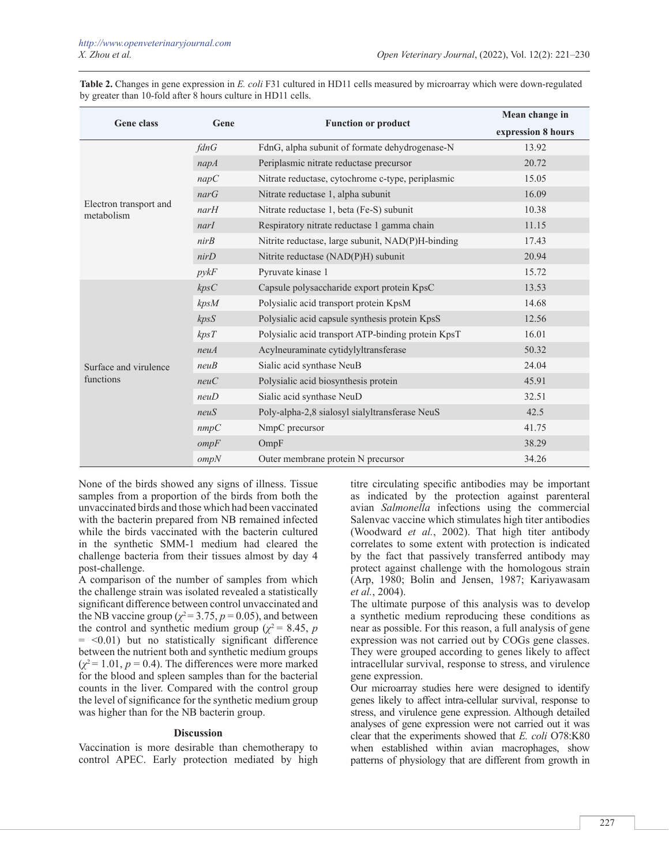**Table 2.** Changes in gene expression in *E. coli* F31 cultured in HD11 cells measured by microarray which were down-regulated by greater than 10-fold after 8 hours culture in HD11 cells.

| <b>Gene class</b>                    | Gene           | <b>Function or product</b>                         | Mean change in     |
|--------------------------------------|----------------|----------------------------------------------------|--------------------|
|                                      |                |                                                    | expression 8 hours |
|                                      | fdnG           | FdnG, alpha subunit of formate dehydrogenase-N     | 13.92              |
|                                      | napA           | Periplasmic nitrate reductase precursor            | 20.72              |
|                                      | napC           | Nitrate reductase, cytochrome c-type, periplasmic  | 15.05              |
|                                      | narG           | Nitrate reductase 1, alpha subunit                 | 16.09              |
| Electron transport and<br>metabolism | $n$ ar $H$     | Nitrate reductase 1, beta (Fe-S) subunit           | 10.38              |
|                                      | narI           | Respiratory nitrate reductase 1 gamma chain        | 11.15              |
|                                      | nirB           | Nitrite reductase, large subunit, NAD(P)H-binding  | 17.43              |
|                                      | nirD           | Nitrite reductase (NAD(P)H) subunit                | 20.94              |
|                                      | $p$ <i>ykF</i> | Pyruvate kinase 1                                  | 15.72              |
|                                      | kpsC           | Capsule polysaccharide export protein KpsC         | 13.53              |
|                                      | kpsM           | Polysialic acid transport protein KpsM             | 14.68              |
|                                      | kpsS           | Polysialic acid capsule synthesis protein KpsS     | 12.56              |
|                                      | kpsT           | Polysialic acid transport ATP-binding protein KpsT | 16.01              |
|                                      | neuA           | Acylneuraminate cytidylyltransferase               | 50.32              |
| Surface and virulence                | neuB           | Sialic acid synthase NeuB                          | 24.04              |
| functions                            | neuC           | Polysialic acid biosynthesis protein               | 45.91              |
|                                      | neuD           | Sialic acid synthase NeuD                          | 32.51              |
|                                      | neuS           | Poly-alpha-2,8 sialosyl sialyltransferase NeuS     | 42.5               |
|                                      | nmpC           | NmpC precursor                                     | 41.75              |
|                                      | ompF           | OmpF                                               | 38.29              |
|                                      | ompN           | Outer membrane protein N precursor                 | 34.26              |

None of the birds showed any signs of illness. Tissue samples from a proportion of the birds from both the unvaccinated birds and those which had been vaccinated with the bacterin prepared from NB remained infected while the birds vaccinated with the bacterin cultured in the synthetic SMM-1 medium had cleared the challenge bacteria from their tissues almost by day 4 post-challenge.

A comparison of the number of samples from which the challenge strain was isolated revealed a statistically significant difference between control unvaccinated and the NB vaccine group ( $\chi^2$  = 3.75, *p* = 0.05), and between the control and synthetic medium group ( $\chi^2$  = 8.45, *p*  $=$  <0.01) but no statistically significant difference between the nutrient both and synthetic medium groups  $(\chi^2 = 1.01, p = 0.4)$ . The differences were more marked for the blood and spleen samples than for the bacterial counts in the liver. Compared with the control group the level of significance for the synthetic medium group was higher than for the NB bacterin group.

## **Discussion**

Vaccination is more desirable than chemotherapy to control APEC. Early protection mediated by high

titre circulating specific antibodies may be important as indicated by the protection against parenteral avian *Salmonella* infections using the commercial Salenvac vaccine which stimulates high titer antibodies (Woodward *et al.*, 2002). That high titer antibody correlates to some extent with protection is indicated by the fact that passively transferred antibody may protect against challenge with the homologous strain (Arp, 1980; Bolin and Jensen, 1987; Kariyawasam *et al.*, 2004).

The ultimate purpose of this analysis was to develop a synthetic medium reproducing these conditions as near as possible. For this reason, a full analysis of gene expression was not carried out by COGs gene classes. They were grouped according to genes likely to affect intracellular survival, response to stress, and virulence gene expression.

Our microarray studies here were designed to identify genes likely to affect intra-cellular survival, response to stress, and virulence gene expression. Although detailed analyses of gene expression were not carried out it was clear that the experiments showed that *E. coli* O78:K80 when established within avian macrophages, show patterns of physiology that are different from growth in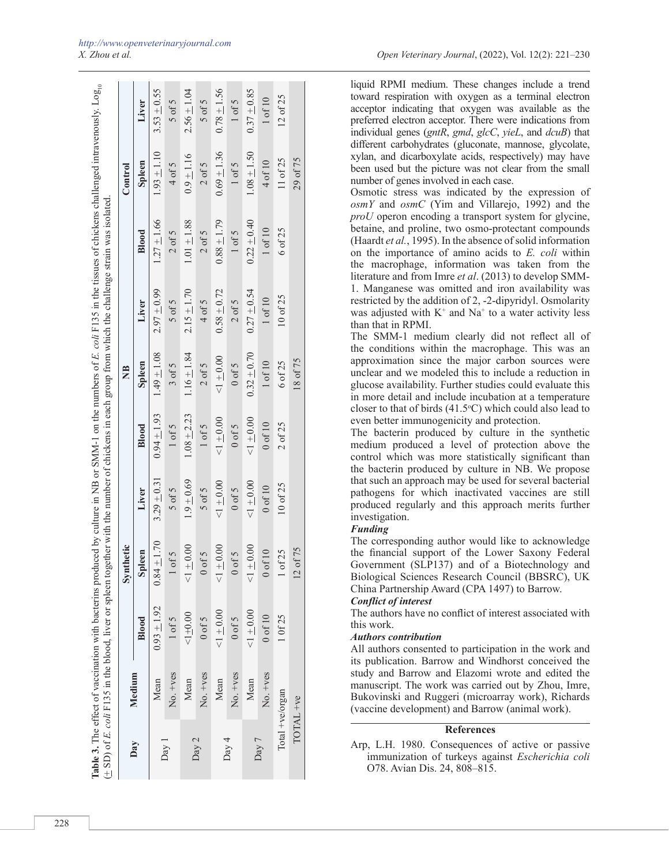|           | Medium             |               | Synthetic                |               |               | $\frac{1}{2}$ |               |               | Control       |               |
|-----------|--------------------|---------------|--------------------------|---------------|---------------|---------------|---------------|---------------|---------------|---------------|
| Day       |                    | Blood         | Spleen                   | Liver         | Blood         | <b>Spleen</b> | Liver         | Blood         | <b>Spleen</b> | Liver         |
|           | Mean               | $0.93 + 1.92$ | $0.84 \pm 1.70$          | $3.29 + 0.31$ | $0.94 + 1.93$ | $1.49 + 1.08$ | $2.97 + 0.99$ | $1.27 + 1.66$ | $1.93 + 1.10$ | $3.53 + 0.55$ |
| $Day$ $]$ | No. +ves           | $1$ of $5$    | 0f5                      | $5$ of $5$    | $1$ of $5$    | $3$ of $5$    | $5$ of $5$    | $2$ of $5$    | 4 of 5        | $5$ of $5$    |
|           | Mean               | $1 + 0.00$    | $+0.00$                  | $1.9 + 0.69$  | $1.08 + 2.23$ | $1.16 + 1.84$ | $2.15 + 1.70$ | $1.01 + 1.88$ | $0.9 + 1.16$  | $2.56 + 1.04$ |
| Day 2     | No. +ves           | $0$ of $5$    | of 5                     | $5$ of $5$    | $1$ of $5$    | $2$ of $5$    | 4 of 5        | $2$ of 5      | $2$ of 5      | $5$ of $5$    |
|           | Mean               | $1 + 0.00$    | $<1\pm0.00$              | $1 + 0.00$    | $<1\pm0.00$   | $1 + 0.00$    | $0.58 + 0.72$ | $0.88 + 1.79$ | $0.69 + 1.36$ | $0.78 + 1.56$ |
| Day 4     | No. +ves           | $0$ of $5$    | $0$ f5                   | $0$ of $5$    | $0$ of 5      | $0$ of $5$    | $2$ of 5      | $1$ of $5$    | $1$ of $5$    | $1$ of $5$    |
|           | Mean               | $1 + 0.00$    | $\frac{+0.00}{-}$        | $1 + 0.00$    | $1 + 0.00$    | $0.32 + 0.70$ | $0.27 + 0.54$ | $0.22 + 0.40$ | $1.08 + 1.50$ | $0.37 + 0.85$ |
| Day 7     | No. +ves           | $0$ of $10$   | of 10                    | $0$ of $10$   | $0$ of $10$   | $1$ of $10$   | $1$ of $10$   | $1$ of $10$   | 4 of 10       | 1 of 10       |
|           | $Total + ve'organ$ | 10f25         | of 25                    | 10 of 25      | $2$ of $25$   | 6 of 25       | 10 of 25      | 6 of 25       | 11 of 25      | 12 of 25      |
|           | TOTAL +ve          |               | of 75<br>$\overline{12}$ |               |               | 18 of 75      |               |               | 29 of 75      |               |
|           |                    |               |                          |               |               |               |               |               |               |               |

liquid RPMI medium. These changes include a trend toward respiration with oxygen as a terminal electron acceptor indicating that oxygen was available as the preferred electron acceptor. There were indications from individual genes (*gntR*, *gmd*, *glcC*, *yieL*, and *dcuB*) that different carbohydrates (gluconate, mannose, glycolate, xylan, and dicarboxylate acids, respectively) may have been used but the picture was not clear from the small number of genes involved in each case.

Osmotic stress was indicated by the expression of *osmY* and *osmC* (Yim and Villarejo, 1992) and the *proU* operon encoding a transport system for glycine, betaine, and proline, two osmo-protectant compounds (Haardt *et al.*, 1995). In the absence of solid information on the importance of amino acids to *E. coli* within the macrophage, information was taken from the literature and from Imre *et al*. (2013) to develop SMM-1. Manganese was omitted and iron availability was restricted by the addition of 2, -2-dipyridyl. Osmolarity was adjusted with  $K^+$  and  $Na^+$  to a water activity less than that in RPMI.

The SMM-1 medium clearly did not reflect all of the conditions within the macrophage. This was an approximation since the major carbon sources were unclear and we modeled this to include a reduction in glucose availability. Further studies could evaluate this in more detail and include incubation at a temperature closer to that of birds  $(41.5\textdegree C)$  which could also lead to even better immunogenicity and protection.

The bacterin produced by culture in the synthetic medium produced a level of protection above the control which was more statistically significant than the bacterin produced by culture in NB. We propose that such an approach may be used for several bacterial pathogens for which inactivated vaccines are still produced regularly and this approach merits further investigation.

## *Funding*

The corresponding author would like to acknowledge the financial support of the Lower Saxony Federal Government (SLP137) and of a Biotechnology and Biological Sciences Research Council (BBSRC), UK China Partnership Award (CPA 1497) to Barrow.

## *Conflict of interest*

The authors have no conflict of interest associated with this work.

## *Authors contribution*

All authors consented to participation in the work and its publication. Barrow and Windhorst conceived the study and Barrow and Elazomi wrote and edited the manuscript. The work was carried out by Zhou, Imre, Bukovinski and Ruggeri (microarray work), Richards (vaccine development) and Barrow (animal work).

## **References**

Arp, L.H. 1980. Consequences of active or passive immunization of turkeys against *Escherichia coli* O78. Avian Dis. 24, 808–815.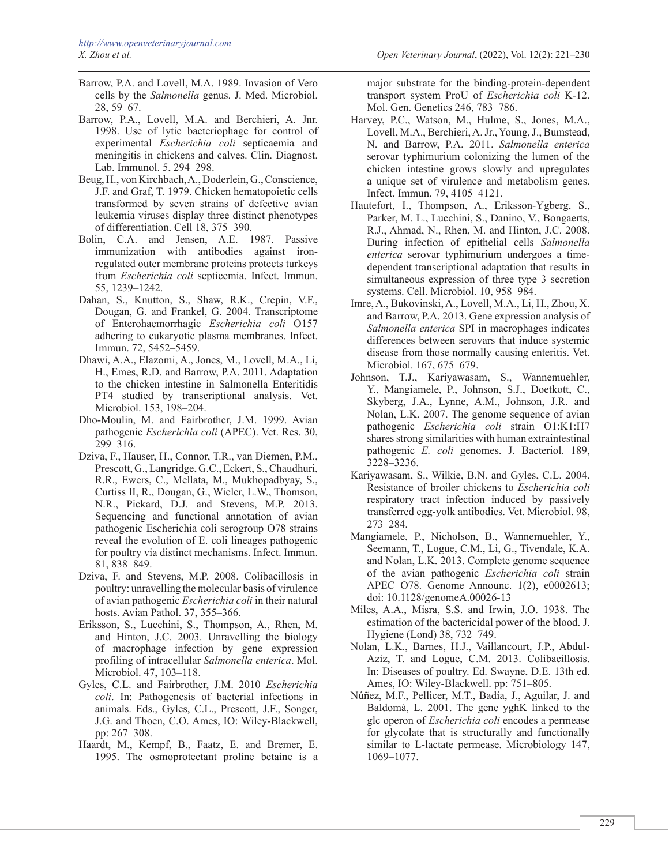- Barrow, P.A. and Lovell, M.A. 1989. Invasion of Vero cells by the *Salmonella* genus. J. Med. Microbiol. 28, 59–67.
- Barrow, P.A., Lovell, M.A. and Berchieri, A. Jnr. 1998. Use of lytic bacteriophage for control of experimental *Escherichia coli* septicaemia and meningitis in chickens and calves. Clin. Diagnost. Lab. Immunol. 5, 294–298.
- Beug, H., von Kirchbach, A., Doderlein, G., Conscience, J.F. and Graf, T. 1979. Chicken hematopoietic cells transformed by seven strains of defective avian leukemia viruses display three distinct phenotypes of differentiation. Cell 18, 375–390.
- Bolin, C.A. and Jensen, A.E. 1987. Passive immunization with antibodies against ironregulated outer membrane proteins protects turkeys from *Escherichia coli* septicemia. Infect. Immun. 55, 1239–1242.
- Dahan, S., Knutton, S., Shaw, R.K., Crepin, V.F., Dougan, G. and Frankel, G. 2004. Transcriptome of Enterohaemorrhagic *Escherichia coli* O157 adhering to eukaryotic plasma membranes. Infect. Immun. 72, 5452–5459.
- Dhawi, A.A., Elazomi, A., Jones, M., Lovell, M.A., Li, H., Emes, R.D. and Barrow, P.A. 2011. [Adaptation](http://www.ncbi.nlm.nih.gov/pubmed/21831537) [to the chicken intestine in Salmonella Enteritidis](http://www.ncbi.nlm.nih.gov/pubmed/21831537) [PT4 studied by transcriptional analysis.](http://www.ncbi.nlm.nih.gov/pubmed/21831537) Vet. Microbiol. 153, 198–204.
- Dho-Moulin, M. and Fairbrother, J.M. 1999. Avian pathogenic *Escherichia coli* (APEC). Vet. Res. 30, 299–316.
- Dziva, F., Hauser, H., Connor, T.R., van Diemen, P.M., Prescott, G., Langridge, G.C., Eckert, S., Chaudhuri, R.R., Ewers, C., Mellata, M., Mukhopadbyay, S., Curtiss II, R., Dougan, G., Wieler, L.W., Thomson, N.R., Pickard, D.J. and Stevens, M.P. 2013. Sequencing and functional annotation of avian pathogenic Escherichia coli serogroup O78 strains reveal the evolution of E. coli lineages pathogenic for poultry via distinct mechanisms. Infect. Immun. 81, 838–849.
- Dziva, F. and Stevens, M.P. 2008. Colibacillosis in poultry: unravelling the molecular basis of virulence of avian pathogenic *Escherichia coli* in their natural hosts. Avian Pathol. 37, 355–366.
- Eriksson, S., Lucchini, S., Thompson, A., Rhen, M. and Hinton, J.C. 2003. [Unravelling the biology](http://www.ncbi.nlm.nih.gov/pubmed/12492857) [of macrophage infection by gene expression](http://www.ncbi.nlm.nih.gov/pubmed/12492857) [profiling of intracellular](http://www.ncbi.nlm.nih.gov/pubmed/12492857) *Salmonella enterica*. Mol. Microbiol. 47, 103–118.
- Gyles, C.L. and Fairbrother, J.M. 2010 *Escherichia coli*. In: Pathogenesis of bacterial infections in animals. Eds., Gyles, C.L., Prescott, J.F., Songer, J.G. and Thoen, C.O. Ames, IO: Wiley-Blackwell, pp: 267–308.
- Haardt, M., Kempf, B., Faatz, E. and Bremer, E. 1995. [The osmoprotectant proline betaine is a](http://www.ncbi.nlm.nih.gov/pubmed/7898450)

[major substrate for the binding-protein-dependent](http://www.ncbi.nlm.nih.gov/pubmed/7898450) [transport system ProU of](http://www.ncbi.nlm.nih.gov/pubmed/7898450) *Escherichia coli* K-12. Mol. Gen. Genetics 246, 783–786.

- Harvey, P.C., Watson, M., Hulme, S., Jones, M.A., Lovell, M.A., Berchieri, A. Jr., Young, J., Bumstead, N. and Barrow, P.A. 2011. *[Salmonella](http://www.ncbi.nlm.nih.gov/pubmed/21768276) enterica* [serovar typhimurium colonizing the lumen of the](http://www.ncbi.nlm.nih.gov/pubmed/21768276) [chicken intestine grows slowly and upregulates](http://www.ncbi.nlm.nih.gov/pubmed/21768276) [a unique set of virulence and metabolism genes.](http://www.ncbi.nlm.nih.gov/pubmed/21768276) Infect. Immun. 79, 4105–4121.
- Hautefort, I., Thompson, A., Eriksson-Ygberg, S., Parker, M. L., Lucchini, S., Danino, V., Bongaerts, R.J., Ahmad, N., Rhen, M. and Hinton, J.C. 2008. During infection of epithelial cells *Salmonella enterica* serovar typhimurium undergoes a timedependent transcriptional adaptation that results in simultaneous expression of three type 3 secretion systems. Cell. Microbiol. 10, 958–984.
- Imre, A., Bukovinski, A., Lovell, M.A., Li, H., Zhou, X. and Barrow, P.A. 2013. Gene expression analysis of *Salmonella enterica* SPI in macrophages indicates differences between serovars that induce systemic disease from those normally causing enteritis. Vet. Microbiol. 167, 675–679.
- [Johnson, T.J](http://www.ncbi.nlm.nih.gov/pubmed?term=Johnson TJ%5BAuthor%5D&cauthor=true&cauthor_uid=17293413)., [Kariyawasam](http://www.ncbi.nlm.nih.gov/pubmed?term=Kariyawasam S%5BAuthor%5D&cauthor=true&cauthor_uid=17293413), S., [Wannemuehler,](http://www.ncbi.nlm.nih.gov/pubmed?term=Wannemuehler Y%5BAuthor%5D&cauthor=true&cauthor_uid=17293413) Y., [Mangiamele,](http://www.ncbi.nlm.nih.gov/pubmed?term=Mangiamele P%5BAuthor%5D&cauthor=true&cauthor_uid=17293413) P., [Johnson,](http://www.ncbi.nlm.nih.gov/pubmed?term=Johnson SJ%5BAuthor%5D&cauthor=true&cauthor_uid=17293413) S.J., [Doetkott, C.,](http://www.ncbi.nlm.nih.gov/pubmed?term=Doetkott C%5BAuthor%5D&cauthor=true&cauthor_uid=17293413) Skyberg, J.A., Lynne, A.M., Johnson, J.R. and Nolan, L.K. 2007. The genome sequence of avian pathogenic *Escherichia coli* strain O1:K1:H7 shares strong similarities with human extraintestinal pathogenic *E. coli* genomes. J. Bacteriol. 189, 3228–3236.
- Kariyawasam, S., Wilkie, B.N. and Gyles, C.L. 2004. Resistance of broiler chickens to *Escherichia coli* respiratory tract infection induced by passively transferred egg-yolk antibodies. Vet. Microbiol. 98, 273–284.
- Mangiamele, P., Nicholson, B., Wannemuehler, Y., Seemann, T., Logue, C.M., Li, G., Tivendale, K.A. and Nolan, L.K. 2013. Complete genome sequence of the avian pathogenic *Escherichia coli* strain APEC O78. Genome Announc. 1(2), e0002613; doi: 10.1128/genomeA.00026-13
- [Miles, A.A](http://www.ncbi.nlm.nih.gov/pubmed?term=Miles AA%5BAuthor%5D&cauthor=true&cauthor_uid=20475467)., [Misra, S.S. and](http://www.ncbi.nlm.nih.gov/pubmed?term=Misra SS%5BAuthor%5D&cauthor=true&cauthor_uid=20475467) [Irwin](http://www.ncbi.nlm.nih.gov/pubmed?term=Irwin JO%5BAuthor%5D&cauthor=true&cauthor_uid=20475467), J.O. 1938. The estimation of the bactericidal power of the blood. J. Hygiene (Lond) 38, 732–749.
- Nolan, L.K., Barnes, H.J., Vaillancourt, J.P., Abdul-Aziz, T. and Logue, C.M. 2013. Colibacillosis. In: Diseases of poultry. Ed. Swayne, D.E. 13th ed. Ames, IO: Wiley-Blackwell. pp: 751–805.
- Núñez, M.F., Pellicer, M.T., Badía, J., Aguilar, J. and Baldomà, L. 2001. The gene yghK linked to the glc operon of *Escherichia coli* encodes a permease for glycolate that is structurally and functionally similar to L-lactate permease. Microbiology 147, 1069–1077.